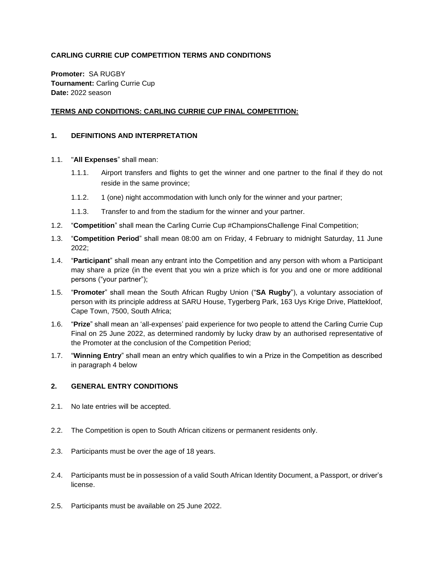# **CARLING CURRIE CUP COMPETITION TERMS AND CONDITIONS**

**Promoter:** SA RUGBY **Tournament:** Carling Currie Cup **Date:** 2022 season

## **TERMS AND CONDITIONS: CARLING CURRIE CUP FINAL COMPETITION:**

#### **1. DEFINITIONS AND INTERPRETATION**

- 1.1. "**All Expenses**" shall mean:
	- 1.1.1. Airport transfers and flights to get the winner and one partner to the final if they do not reside in the same province;
	- 1.1.2. 1 (one) night accommodation with lunch only for the winner and your partner;
	- 1.1.3. Transfer to and from the stadium for the winner and your partner.
- 1.2. "**Competition**" shall mean the Carling Currie Cup #ChampionsChallenge Final Competition;
- 1.3. "**Competition Period**" shall mean 08:00 am on Friday, 4 February to midnight Saturday, 11 June 2022;
- 1.4. "**Participant**" shall mean any entrant into the Competition and any person with whom a Participant may share a prize (in the event that you win a prize which is for you and one or more additional persons ("your partner");
- 1.5. "**Promoter**" shall mean the South African Rugby Union ("**SA Rugby**"), a voluntary association of person with its principle address at SARU House, Tygerberg Park, 163 Uys Krige Drive, Plattekloof, Cape Town, 7500, South Africa;
- 1.6. "**Prize**" shall mean an 'all-expenses' paid experience for two people to attend the Carling Currie Cup Final on 25 June 2022, as determined randomly by lucky draw by an authorised representative of the Promoter at the conclusion of the Competition Period;
- 1.7. "**Winning Entry**" shall mean an entry which qualifies to win a Prize in the Competition as described in paragraph [4 below](#page-1-0)

### **2. GENERAL ENTRY CONDITIONS**

- 2.1. No late entries will be accepted.
- 2.2. The Competition is open to South African citizens or permanent residents only.
- 2.3. Participants must be over the age of 18 years.
- 2.4. Participants must be in possession of a valid South African Identity Document, a Passport, or driver's license.
- 2.5. Participants must be available on 25 June 2022.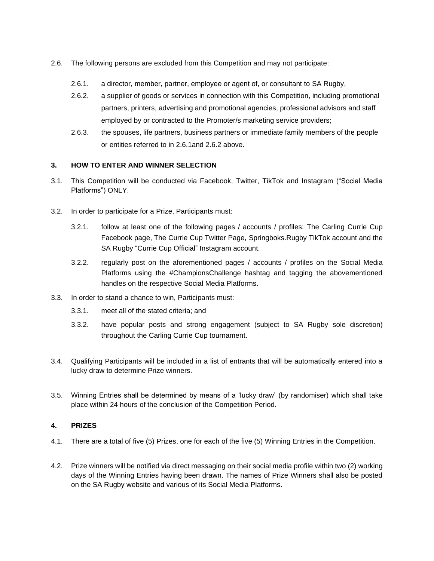- <span id="page-1-2"></span><span id="page-1-1"></span>2.6. The following persons are excluded from this Competition and may not participate:
	- 2.6.1. a director, member, partner, employee or agent of, or consultant to SA Rugby,
	- 2.6.2. a supplier of goods or services in connection with this Competition, including promotional partners, printers, advertising and promotional agencies, professional advisors and staff employed by or contracted to the Promoter/s marketing service providers;
	- 2.6.3. the spouses, life partners, business partners or immediate family members of the people or entities referred to in [2.6.1a](#page-1-1)nd [2.6.2 above.](#page-1-2)

#### **3. HOW TO ENTER AND WINNER SELECTION**

- 3.1. This Competition will be conducted via Facebook, Twitter, TikTok and Instagram ("Social Media Platforms") ONLY.
- 3.2. In order to participate for a Prize, Participants must:
	- 3.2.1. follow at least one of the following pages / accounts / profiles: The Carling Currie Cup Facebook page, The Currie Cup Twitter Page, Springboks.Rugby TikTok account and the SA Rugby "Currie Cup Official" Instagram account.
	- 3.2.2. regularly post on the aforementioned pages / accounts / profiles on the Social Media Platforms using the #ChampionsChallenge hashtag and tagging the abovementioned handles on the respective Social Media Platforms.
- 3.3. In order to stand a chance to win, Participants must:
	- 3.3.1. meet all of the stated criteria; and
	- 3.3.2. have popular posts and strong engagement (subject to SA Rugby sole discretion) throughout the Carling Currie Cup tournament.
- 3.4. Qualifying Participants will be included in a list of entrants that will be automatically entered into a lucky draw to determine Prize winners.
- 3.5. Winning Entries shall be determined by means of a 'lucky draw' (by randomiser) which shall take place within 24 hours of the conclusion of the Competition Period.

### <span id="page-1-0"></span>**4. PRIZES**

- 4.1. There are a total of five (5) Prizes, one for each of the five (5) Winning Entries in the Competition.
- 4.2. Prize winners will be notified via direct messaging on their social media profile within two (2) working days of the Winning Entries having been drawn. The names of Prize Winners shall also be posted on the SA Rugby website and various of its Social Media Platforms.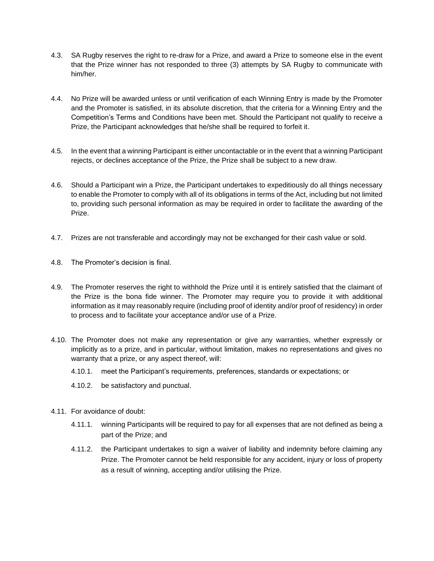- 4.3. SA Rugby reserves the right to re-draw for a Prize, and award a Prize to someone else in the event that the Prize winner has not responded to three (3) attempts by SA Rugby to communicate with him/her.
- 4.4. No Prize will be awarded unless or until verification of each Winning Entry is made by the Promoter and the Promoter is satisfied, in its absolute discretion, that the criteria for a Winning Entry and the Competition's Terms and Conditions have been met. Should the Participant not qualify to receive a Prize, the Participant acknowledges that he/she shall be required to forfeit it.
- 4.5. In the event that a winning Participant is either uncontactable or in the event that a winning Participant rejects, or declines acceptance of the Prize, the Prize shall be subject to a new draw.
- 4.6. Should a Participant win a Prize, the Participant undertakes to expeditiously do all things necessary to enable the Promoter to comply with all of its obligations in terms of the Act, including but not limited to, providing such personal information as may be required in order to facilitate the awarding of the Prize.
- 4.7. Prizes are not transferable and accordingly may not be exchanged for their cash value or sold.
- 4.8. The Promoter's decision is final.
- 4.9. The Promoter reserves the right to withhold the Prize until it is entirely satisfied that the claimant of the Prize is the bona fide winner. The Promoter may require you to provide it with additional information as it may reasonably require (including proof of identity and/or proof of residency) in order to process and to facilitate your acceptance and/or use of a Prize.
- 4.10. The Promoter does not make any representation or give any warranties, whether expressly or implicitly as to a prize, and in particular, without limitation, makes no representations and gives no warranty that a prize, or any aspect thereof, will:
	- 4.10.1. meet the Participant's requirements, preferences, standards or expectations; or
	- 4.10.2. be satisfactory and punctual.
- 4.11. For avoidance of doubt:
	- 4.11.1. winning Participants will be required to pay for all expenses that are not defined as being a part of the Prize; and
	- 4.11.2. the Participant undertakes to sign a waiver of liability and indemnity before claiming any Prize. The Promoter cannot be held responsible for any accident, injury or loss of property as a result of winning, accepting and/or utilising the Prize.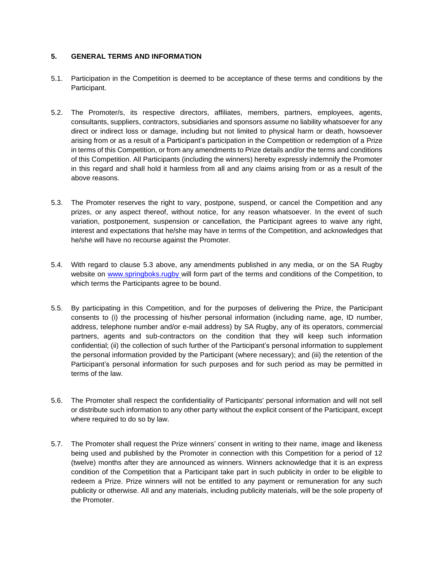### **5. GENERAL TERMS AND INFORMATION**

- 5.1. Participation in the Competition is deemed to be acceptance of these terms and conditions by the Participant.
- 5.2. The Promoter/s, its respective directors, affiliates, members, partners, employees, agents, consultants, suppliers, contractors, subsidiaries and sponsors assume no liability whatsoever for any direct or indirect loss or damage, including but not limited to physical harm or death, howsoever arising from or as a result of a Participant's participation in the Competition or redemption of a Prize in terms of this Competition, or from any amendments to Prize details and/or the terms and conditions of this Competition. All Participants (including the winners) hereby expressly indemnify the Promoter in this regard and shall hold it harmless from all and any claims arising from or as a result of the above reasons.
- 5.3. The Promoter reserves the right to vary, postpone, suspend, or cancel the Competition and any prizes, or any aspect thereof, without notice, for any reason whatsoever. In the event of such variation, postponement, suspension or cancellation, the Participant agrees to waive any right, interest and expectations that he/she may have in terms of the Competition, and acknowledges that he/she will have no recourse against the Promoter.
- 5.4. With regard to clause 5.3 above, any amendments published in any media, or on the SA Rugby website on www.springboks.rugby will form part of the terms and conditions of the Competition, to which terms the Participants agree to be bound.
- 5.5. By participating in this Competition, and for the purposes of delivering the Prize, the Participant consents to (i) the processing of his/her personal information (including name, age, ID number, address, telephone number and/or e-mail address) by SA Rugby, any of its operators, commercial partners, agents and sub-contractors on the condition that they will keep such information confidential; (ii) the collection of such further of the Participant's personal information to supplement the personal information provided by the Participant (where necessary); and (iii) the retention of the Participant's personal information for such purposes and for such period as may be permitted in terms of the law.
- 5.6. The Promoter shall respect the confidentiality of Participants' personal information and will not sell or distribute such information to any other party without the explicit consent of the Participant, except where required to do so by law.
- 5.7. The Promoter shall request the Prize winners' consent in writing to their name, image and likeness being used and published by the Promoter in connection with this Competition for a period of 12 (twelve) months after they are announced as winners. Winners acknowledge that it is an express condition of the Competition that a Participant take part in such publicity in order to be eligible to redeem a Prize. Prize winners will not be entitled to any payment or remuneration for any such publicity or otherwise. All and any materials, including publicity materials, will be the sole property of the Promoter.